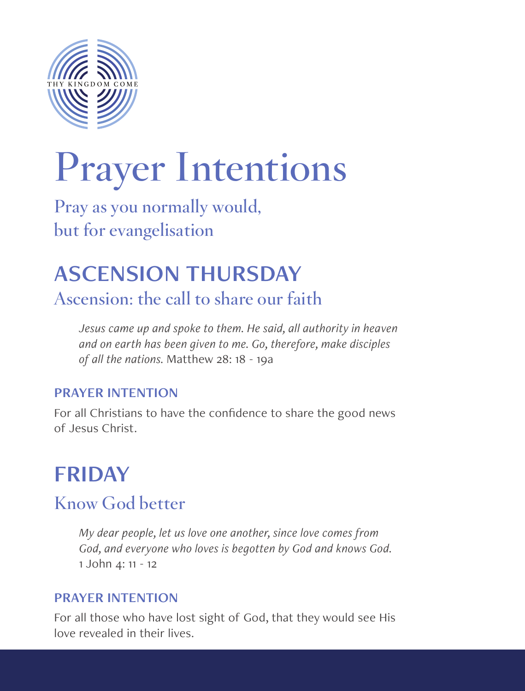

# **Prayer Intentions**

**Pray as you normally would, but for evangelisation**

# ASCENSION THURSDAY

**Ascension: the call to share our faith**

*Jesus came up and spoke to them. He said, all authority in heaven and on earth has been given to me. Go, therefore, make disciples of all the nations.* Matthew 28: 18 - 19a

#### PRAYER INTENTION

For all Christians to have the confidence to share the good news of Jesus Christ.

# FRIDAY

### **Know God better**

*My dear people, let us love one another, since love comes from God, and everyone who loves is begotten by God and knows God.*  1 John 4: 11 - 12

#### PRAYER INTENTION

For all those who have lost sight of God, that they would see His love revealed in their lives.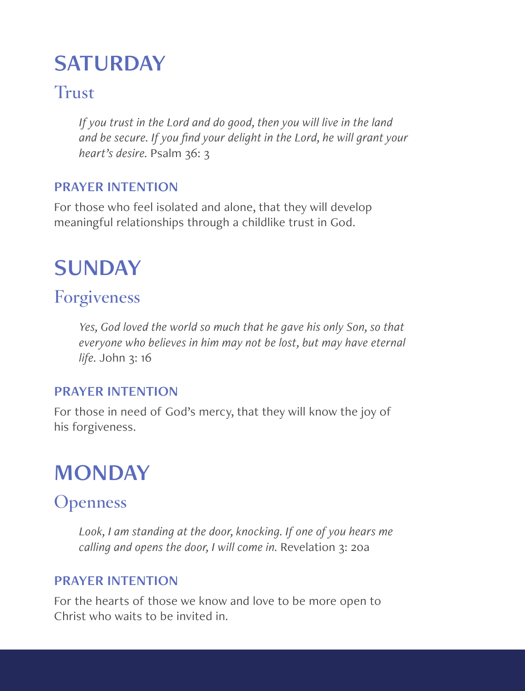# **SATURDAY**

### **Trust**

*If you trust in the Lord and do good, then you will live in the land and be secure. If you find your delight in the Lord, he will grant your heart's desire.* Psalm 36: 3

#### PRAYER INTENTION

For those who feel isolated and alone, that they will develop meaningful relationships through a childlike trust in God.

## SUNDAY

### **Forgiveness**

*Yes, God loved the world so much that he gave his only Son, so that everyone who believes in him may not be lost, but may have eternal life.* John 3: 16

#### PRAYER INTENTION

For those in need of God's mercy, that they will know the joy of his forgiveness.

# **MONDAY**

### **Openness**

*Look, I am standing at the door, knocking. If one of you hears me calling and opens the door, I will come in.* Revelation 3: 20a

#### PRAYER INTENTION

For the hearts of those we know and love to be more open to Christ who waits to be invited in.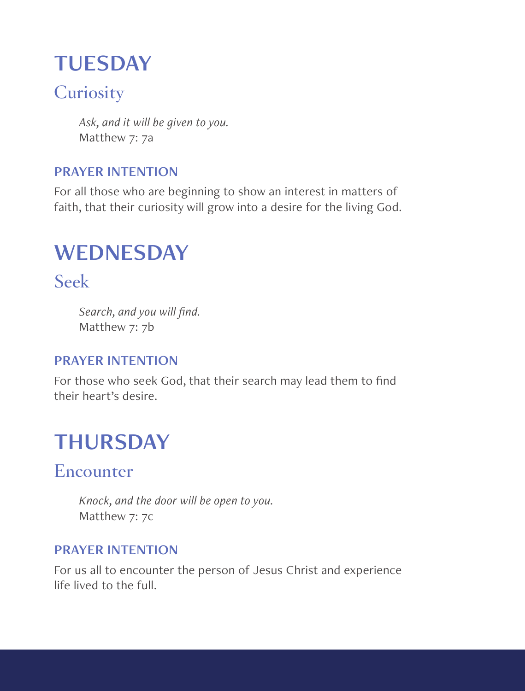# **TUESDAY**

### **Curiosity**

*Ask, and it will be given to you.*  Matthew 7: 7a

#### PRAYER INTENTION

For all those who are beginning to show an interest in matters of faith, that their curiosity will grow into a desire for the living God.

# **WEDNESDAY**

**Seek**

*Search, and you will find.* Matthew 7: 7b

#### PRAYER INTENTION

For those who seek God, that their search may lead them to find their heart's desire.

# THURSDAY

### **Encounter**

*Knock, and the door will be open to you.* Matthew 7: 7c

#### PRAYER INTENTION

For us all to encounter the person of Jesus Christ and experience life lived to the full.